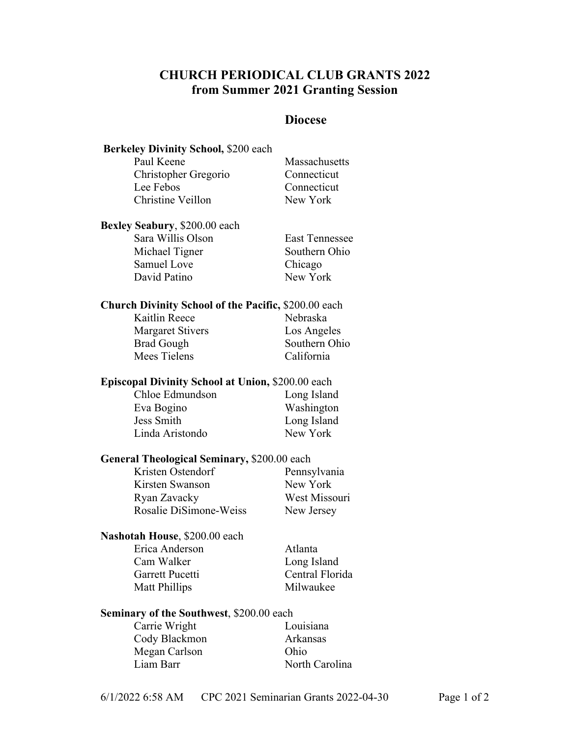# **CHURCH PERIODICAL CLUB GRANTS 2022 from Summer 2021 Granting Session**

## **Diocese**

| Berkeley Divinity School, \$200 each                        |                       |
|-------------------------------------------------------------|-----------------------|
| Paul Keene                                                  | Massachusetts         |
| Christopher Gregorio                                        | Connecticut           |
| Lee Febos                                                   | Connecticut           |
| Christine Veillon                                           | New York              |
| Bexley Seabury, \$200.00 each                               |                       |
| Sara Willis Olson                                           | <b>East Tennessee</b> |
| Michael Tigner                                              | Southern Ohio         |
| Samuel Love                                                 | Chicago               |
| David Patino                                                | New York              |
| <b>Church Divinity School of the Pacific, \$200.00 each</b> |                       |
| Kaitlin Reece                                               | Nebraska              |
| <b>Margaret Stivers</b>                                     | Los Angeles           |
| <b>Brad Gough</b>                                           | Southern Ohio         |
| Mees Tielens                                                | California            |
| Episcopal Divinity School at Union, \$200.00 each           |                       |
| Chloe Edmundson                                             | Long Island           |
| Eva Bogino                                                  | Washington            |
| <b>Jess Smith</b>                                           | Long Island           |
| Linda Aristondo                                             | New York              |
| <b>General Theological Seminary, \$200.00 each</b>          |                       |
| Kristen Ostendorf                                           | Pennsylvania          |
| Kirsten Swanson                                             | New York              |
| Ryan Zavacky                                                | West Missouri         |
| Rosalie DiSimone-Weiss                                      | New Jersey            |
| Nashotah House, \$200.00 each                               |                       |
| Erica Anderson                                              | Atlanta               |
| Cam Walker                                                  | Long Island           |
| Garrett Pucetti                                             | Central Florida       |
| <b>Matt Phillips</b>                                        | Milwaukee             |
| <b>Seminary of the Southwest, \$200.00 each</b>             |                       |
| Carrie Wright                                               | Louisiana             |
| Cody Blackmon                                               | Arkansas              |
| Megan Carlson                                               | Ohio                  |
| Liam Barr                                                   | North Carolina        |